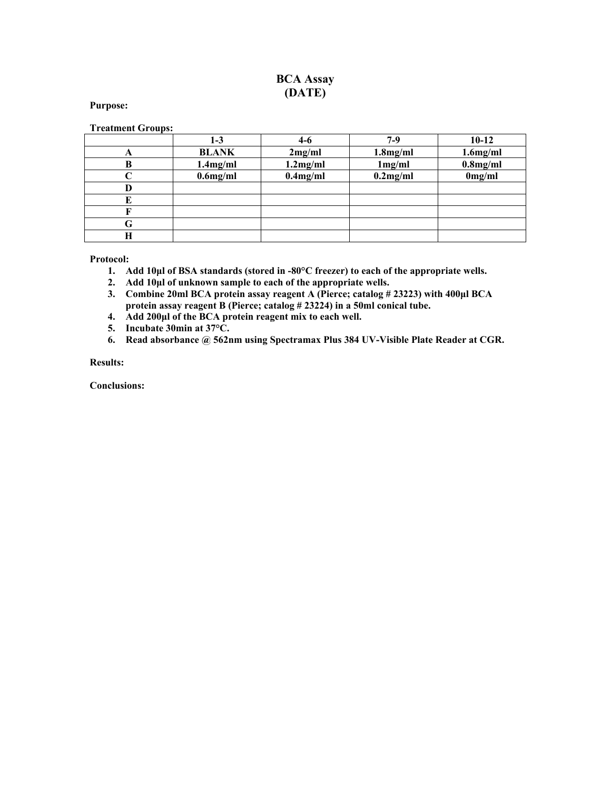## **BCA Assay (DATE)**

#### **Purpose:**

#### **Treatment Groups:**

|   | 1-3          | $4-6$       | $7-9$       | $10-12$     |
|---|--------------|-------------|-------------|-------------|
| A | <b>BLANK</b> | 2mg/ml      | $1.8$ mg/ml | $1.6$ mg/ml |
| В | $1.4$ mg/ml  | 1.2mg/ml    | 1mg/ml      | $0.8$ mg/ml |
|   | $0.6$ mg/ml  | $0.4$ mg/ml | $0.2$ mg/ml | 0mg/ml      |
|   |              |             |             |             |
|   |              |             |             |             |
|   |              |             |             |             |
| G |              |             |             |             |
| н |              |             |             |             |

**Protocol:**

- **1. Add 10µl of BSA standards (stored in -80°C freezer) to each of the appropriate wells.**
- **2. Add 10µl of unknown sample to each of the appropriate wells.**
- **3. Combine 20ml BCA protein assay reagent A (Pierce; catalog # 23223) with 400µl BCA protein assay reagent B (Pierce; catalog # 23224) in a 50ml conical tube.**
- **4. Add 200µl of the BCA protein reagent mix to each well.**
- **5. Incubate 30min at 37°C.**
- **6. Read absorbance @ 562nm using Spectramax Plus 384 UV-Visible Plate Reader at CGR.**

### **Results:**

**Conclusions:**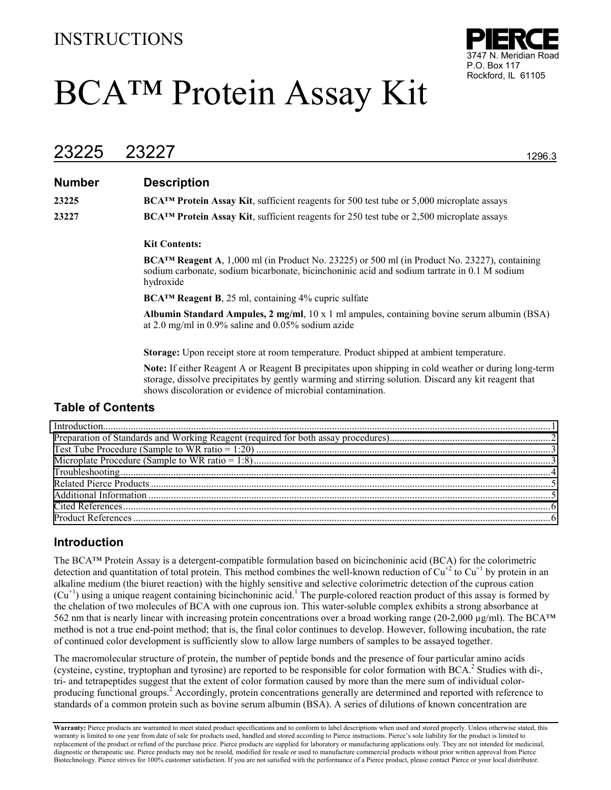## INSTRUCTIONS

# BCA™ Protein Assay Kit



# 23225 23227 1296.3

## **Number Description**

**23225 BCA<sup>™</sup> Protein Assay Kit**, sufficient reagents for 500 test tube or 5,000 microplate assays **23227 BCA<sup>™</sup> Protein Assay Kit**, sufficient reagents for 250 test tube or 2,500 microplate assays

#### **Kit Contents:**

**BCA™ Reagent A**, 1,000 ml (in Product No. 23225) or 500 ml (in Product No. 23227), containing sodium carbonate, sodium bicarbonate, bicinchoninic acid and sodium tartrate in 0.1 M sodium hydroxide

**BCA™ Reagent B**, 25 ml, containing 4% cupric sulfate

**Albumin Standard Ampules, 2 mg/ml**, 10 x 1 ml ampules, containing bovine serum albumin (BSA) at 2.0 mg/ml in 0.9% saline and 0.05% sodium azide

**Storage:** Upon receipt store at room temperature. Product shipped at ambient temperature.

**Note:** If either Reagent A or Reagent B precipitates upon shipping in cold weather or during long-term storage, dissolve precipitates by gently warming and stirring solution. Discard any kit reagent that shows discoloration or evidence of microbial contamination.

## **Table of Contents**

## **Introduction**

The BCA™ Protein Assay is a detergent-compatible formulation based on bicinchoninic acid (BCA) for the colorimetric detection and quantitation of total protein. This method combines the well-known reduction of  $Cu^{+2}$  to  $Cu^{+1}$  by protein in an alkaline medium (the biuret reaction) with the highly sensitive and selective colorimetric detection of the cuprous cation  $(Cu<sup>+1</sup>)$  using a unique reagent containing bicinchoninic acid.<sup>1</sup> The purple-colored reaction product of this assay is formed by the chelation of two molecules of BCA with one cuprous ion. This water-soluble complex exhibits a strong absorbance at 562 nm that is nearly linear with increasing protein concentrations over a broad working range (20-2,000  $\mu$ g/ml). The BCA<sup>TM</sup> method is not a true end-point method; that is, the final color continues to develop. However, following incubation, the rate of continued color development is sufficiently slow to allow large numbers of samples to be assayed together.

The macromolecular structure of protein, the number of peptide bonds and the presence of four particular amino acids (cysteine, cystine, tryptophan and tyrosine) are reported to be responsible for color formation with BCA.<sup>2</sup> Studies with di-, tri- and tetrapeptides suggest that the extent of color formation caused by more than the mere sum of individual colorproducing functional groups.<sup>2</sup> Accordingly, protein concentrations generally are determined and reported with reference to standards of a common protein such as bovine serum albumin (BSA). A series of dilutions of known concentration are

Warranty: Pierce products are warranted to meet stated product specifications and to conform to label descriptions when used and stored properly. Unless otherwise stated, this warranty is limited to one year from date of sale for products used, handled and stored according to Pierce instructions. Pierce's sole liability for the product is limited to replacement of the product or refund of the purchase price. Pierce products are supplied for laboratory or manufacturing applications only. They are not intended for medicinal, diagnostic or therapeutic use. Pierce products may not be resold, modified for resale or used to manufacture commercial products without prior written approval from Pierce Biotechnology. Pierce strives for 100% customer satisfaction. If you are not satisfied with the performance of a Pierce product, please contact Pierce or your local distributor.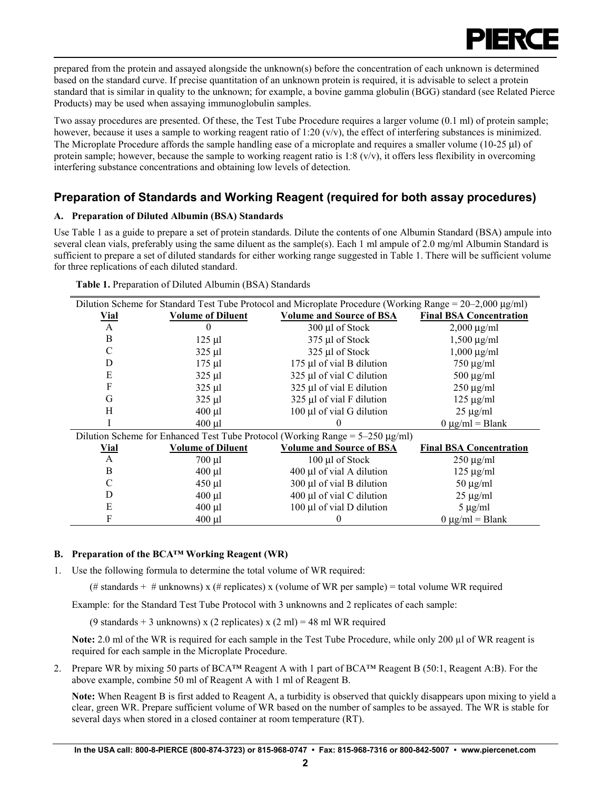

<span id="page-2-0"></span>prepared from the protein and assayed alongside the unknown(s) before the concentration of each unknown is determined based on the standard curve. If precise quantitation of an unknown protein is required, it is advisable to select a protein standard that is similar in quality to the unknown; for example, a bovine gamma globulin (BGG) standard (see Related Pierce Products) may be used when assaying immunoglobulin samples.

Two assay procedures are presented. Of these, the Test Tube Procedure requires a larger volume (0.1 ml) of protein sample; however, because it uses a sample to working reagent ratio of  $1:20 \, \text{(v/v)}$ , the effect of interfering substances is minimized. The Microplate Procedure affords the sample handling ease of a microplate and requires a smaller volume (10-25 µl) of protein sample; however, because the sample to working reagent ratio is  $1:8 \, (v/v)$ , it offers less flexibility in overcoming interfering substance concentrations and obtaining low levels of detection.

## **Preparation of Standards and Working Reagent (required for both assay procedures)**

## **A. Preparation of Diluted Albumin (BSA) Standards**

Use Table 1 as a guide to prepare a set of protein standards. Dilute the contents of one Albumin Standard (BSA) ampule into several clean vials, preferably using the same diluent as the sample(s). Each 1 ml ampule of 2.0 mg/ml Albumin Standard is sufficient to prepare a set of diluted standards for either working range suggested in Table 1. There will be sufficient volume for three replications of each diluted standard.

| Dilution Scheme for Standard Test Tube Protocol and Microplate Procedure (Working Range = $20-2,000 \mu g/ml$ ) |                          |                                                                                     |                                |  |
|-----------------------------------------------------------------------------------------------------------------|--------------------------|-------------------------------------------------------------------------------------|--------------------------------|--|
| <b>Vial</b>                                                                                                     | <b>Volume of Diluent</b> | <b>Volume and Source of BSA</b>                                                     | <b>Final BSA Concentration</b> |  |
| $\mathbf{A}$                                                                                                    | $\theta$                 | 300 µl of Stock                                                                     | $2,000 \mu g/ml$               |  |
| B                                                                                                               | $125 \mu$                | 375 µl of Stock                                                                     | $1,500 \mu g/ml$               |  |
| C                                                                                                               | $325$ µl                 | 325 µl of Stock                                                                     | $1,000 \mu g/ml$               |  |
| D                                                                                                               | $175 \mu$ l              | 175 µl of vial B dilution                                                           | $750 \mu g/ml$                 |  |
| E                                                                                                               | $325 \mu l$              | 325 µl of vial C dilution                                                           | $500 \mu g/ml$                 |  |
| F                                                                                                               | $325 \mu l$              | 325 µl of vial E dilution                                                           | $250 \mu g/ml$                 |  |
| G                                                                                                               | $325 \mu l$              | 325 µl of vial F dilution                                                           | $125 \mu g/ml$                 |  |
| Н                                                                                                               | $400$ µl                 | 100 µl of vial G dilution                                                           | $25 \mu g/ml$                  |  |
|                                                                                                                 | $400$ µl                 |                                                                                     | $0 \mu g/ml = Blank$           |  |
|                                                                                                                 |                          | Dilution Scheme for Enhanced Test Tube Protocol (Working Range = $5-250 \mu g/ml$ ) |                                |  |
| <b>Vial</b>                                                                                                     | <b>Volume of Diluent</b> | <b>Volume and Source of BSA</b>                                                     | <b>Final BSA Concentration</b> |  |
| A                                                                                                               | $700 \mu l$              | 100 µl of Stock                                                                     | $250 \mu g/ml$                 |  |
| B                                                                                                               | $400 \mu l$              | 400 µl of vial A dilution                                                           | $125 \mu g/ml$                 |  |
| C                                                                                                               | $450 \mu l$              | 300 µl of vial B dilution                                                           | $50 \mu g/ml$                  |  |
| D                                                                                                               | $400 \mu l$              | 400 µl of vial C dilution                                                           | $25 \mu g/ml$                  |  |
| E                                                                                                               | $400 \mu l$              | 100 µl of vial D dilution                                                           | $5 \mu g/ml$                   |  |
| F                                                                                                               | $400 \mu l$              |                                                                                     | $0 \mu g/ml = Blank$           |  |

| Table 1. Preparation of Diluted Albumin (BSA) Standards |  |
|---------------------------------------------------------|--|
|---------------------------------------------------------|--|

## **B. Preparation of the BCA™ Working Reagent (WR)**

1. Use the following formula to determine the total volume of WR required:

(# standards + # unknowns) x (# replicates) x (volume of WR per sample) = total volume WR required

Example: for the Standard Test Tube Protocol with 3 unknowns and 2 replicates of each sample:

(9 standards + 3 unknowns) x (2 replicates) x (2 ml) = 48 ml WR required

**Note:** 2.0 ml of the WR is required for each sample in the Test Tube Procedure, while only 200 µl of WR reagent is required for each sample in the Microplate Procedure.

2. Prepare WR by mixing 50 parts of BCA™ Reagent A with 1 part of BCA™ Reagent B (50:1, Reagent A:B). For the above example, combine 50 ml of Reagent A with 1 ml of Reagent B.

**Note:** When Reagent B is first added to Reagent A, a turbidity is observed that quickly disappears upon mixing to yield a clear, green WR. Prepare sufficient volume of WR based on the number of samples to be assayed. The WR is stable for several days when stored in a closed container at room temperature (RT).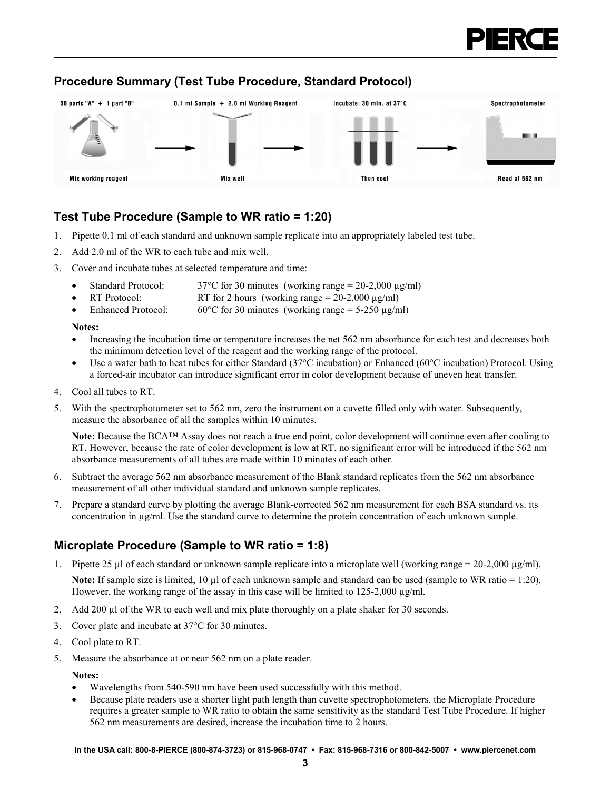

## <span id="page-3-0"></span>**Procedure Summary (Test Tube Procedure, Standard Protocol)**



## **Test Tube Procedure (Sample to WR ratio = 1:20)**

- 1. Pipette 0.1 ml of each standard and unknown sample replicate into an appropriately labeled test tube.
- 2. Add 2.0 ml of the WR to each tube and mix well.
- 3. Cover and incubate tubes at selected temperature and time:
	- Standard Protocol:  $37^{\circ}$ C for 30 minutes (working range = 20-2,000  $\mu$ g/ml)
	- RT Protocol: RT for 2 hours (working range  $= 20-2,000 \mu\text{g/ml}$ )
	- Enhanced Protocol: 60<sup>o</sup>C for 30 minutes (working range =  $5-250 \text{ µg/ml}$ )

#### **Notes:**

- Increasing the incubation time or temperature increases the net 562 nm absorbance for each test and decreases both the minimum detection level of the reagent and the working range of the protocol.
- Use a water bath to heat tubes for either Standard (37°C incubation) or Enhanced (60°C incubation) Protocol. Using a forced-air incubator can introduce significant error in color development because of uneven heat transfer.
- 4. Cool all tubes to RT.
- 5. With the spectrophotometer set to 562 nm, zero the instrument on a cuvette filled only with water. Subsequently, measure the absorbance of all the samples within 10 minutes.

**Note:** Because the BCA™ Assay does not reach a true end point, color development will continue even after cooling to RT. However, because the rate of color development is low at RT, no significant error will be introduced if the 562 nm absorbance measurements of all tubes are made within 10 minutes of each other.

- 6. Subtract the average 562 nm absorbance measurement of the Blank standard replicates from the 562 nm absorbance measurement of all other individual standard and unknown sample replicates.
- 7. Prepare a standard curve by plotting the average Blank-corrected 562 nm measurement for each BSA standard vs. its concentration in µg/ml. Use the standard curve to determine the protein concentration of each unknown sample.

## **Microplate Procedure (Sample to WR ratio = 1:8)**

1. Pipette 25 µl of each standard or unknown sample replicate into a microplate well (working range =  $20-2,000 \mu g/ml$ ).

**Note:** If sample size is limited, 10  $\mu$ l of each unknown sample and standard can be used (sample to WR ratio = 1:20). However, the working range of the assay in this case will be limited to 125-2,000  $\mu$ g/ml.

- 2. Add 200  $\mu$ l of the WR to each well and mix plate thoroughly on a plate shaker for 30 seconds.
- 3. Cover plate and incubate at 37°C for 30 minutes.
- 4. Cool plate to RT.
- 5. Measure the absorbance at or near 562 nm on a plate reader.

**Notes:**

- Wavelengths from 540-590 nm have been used successfully with this method.
- Because plate readers use a shorter light path length than cuvette spectrophotometers, the Microplate Procedure requires a greater sample to WR ratio to obtain the same sensitivity as the standard Test Tube Procedure. If higher 562 nm measurements are desired, increase the incubation time to 2 hours.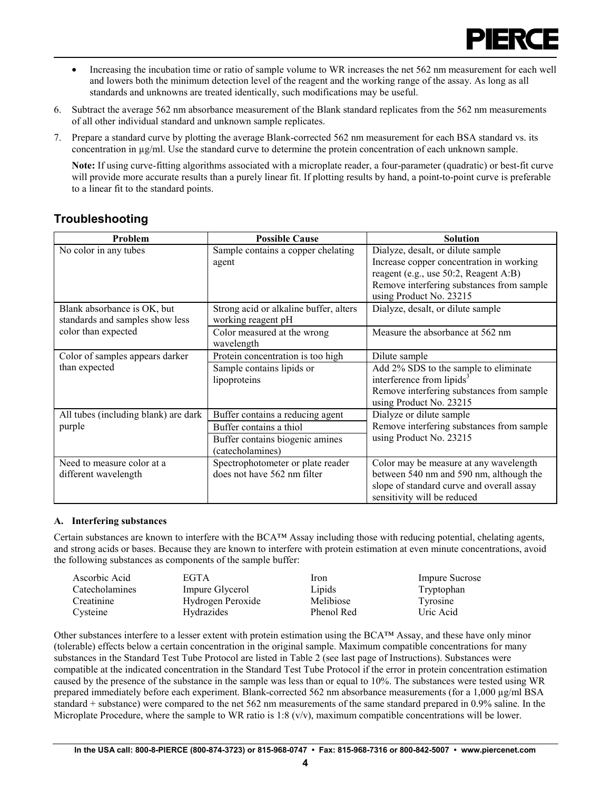

- <span id="page-4-0"></span>• Increasing the incubation time or ratio of sample volume to WR increases the net 562 nm measurement for each well and lowers both the minimum detection level of the reagent and the working range of the assay. As long as all standards and unknowns are treated identically, such modifications may be useful.
- 6. Subtract the average 562 nm absorbance measurement of the Blank standard replicates from the 562 nm measurements of all other individual standard and unknown sample replicates.
- 7. Prepare a standard curve by plotting the average Blank-corrected 562 nm measurement for each BSA standard vs. its concentration in µg/ml. Use the standard curve to determine the protein concentration of each unknown sample.

**Note:** If using curve-fitting algorithms associated with a microplate reader, a four-parameter (quadratic) or best-fit curve will provide more accurate results than a purely linear fit. If plotting results by hand, a point-to-point curve is preferable to a linear fit to the standard points.

## **Troubleshooting**

| <b>Problem</b>                       | <b>Possible Cause</b>                  | <b>Solution</b>                           |
|--------------------------------------|----------------------------------------|-------------------------------------------|
| No color in any tubes                | Sample contains a copper chelating     | Dialyze, desalt, or dilute sample         |
|                                      | agent                                  | Increase copper concentration in working  |
|                                      |                                        | reagent (e.g., use 50:2, Reagent A:B)     |
|                                      |                                        | Remove interfering substances from sample |
|                                      |                                        | using Product No. 23215                   |
| Blank absorbance is OK, but          | Strong acid or alkaline buffer, alters | Dialyze, desalt, or dilute sample         |
| standards and samples show less      | working reagent pH                     |                                           |
| color than expected                  | Color measured at the wrong            | Measure the absorbance at 562 nm          |
|                                      | wavelength                             |                                           |
| Color of samples appears darker      | Protein concentration is too high      | Dilute sample                             |
| than expected                        | Sample contains lipids or              | Add 2% SDS to the sample to eliminate     |
|                                      | lipoproteins                           | interference from lipids <sup>3</sup>     |
|                                      |                                        | Remove interfering substances from sample |
|                                      |                                        | using Product No. 23215                   |
| All tubes (including blank) are dark | Buffer contains a reducing agent       | Dialyze or dilute sample                  |
| purple                               | Buffer contains a thiol                | Remove interfering substances from sample |
|                                      | Buffer contains biogenic amines        | using Product No. 23215                   |
|                                      | (catecholamines)                       |                                           |
| Need to measure color at a           | Spectrophotometer or plate reader      | Color may be measure at any wavelength    |
| different wavelength                 | does not have 562 nm filter            | between 540 nm and 590 nm, although the   |
|                                      |                                        | slope of standard curve and overall assay |
|                                      |                                        | sensitivity will be reduced               |

#### **A. Interfering substances**

Certain substances are known to interfere with the BCA™ Assay including those with reducing potential, chelating agents, and strong acids or bases. Because they are known to interfere with protein estimation at even minute concentrations, avoid the following substances as components of the sample buffer:

| Ascorbic Acid  | <b>EGTA</b>       | Iron       | <b>Impure Sucrose</b> |
|----------------|-------------------|------------|-----------------------|
| Catecholamines | Impure Glycerol   | Lipids     | Tryptophan            |
| Creatinine     | Hydrogen Peroxide | Melibiose  | Tyrosine              |
| Cysteine       | Hydrazides        | Phenol Red | Uric Acid             |

Other substances interfere to a lesser extent with protein estimation using the BCA™ Assay, and these have only minor (tolerable) effects below a certain concentration in the original sample. Maximum compatible concentrations for many substances in the Standard Test Tube Protocol are listed in Table 2 (see last page of Instructions). Substances were compatible at the indicated concentration in the Standard Test Tube Protocol if the error in protein concentration estimation caused by the presence of the substance in the sample was less than or equal to 10%. The substances were tested using WR prepared immediately before each experiment. Blank-corrected 562 nm absorbance measurements (for a 1,000 µg/ml BSA standard + substance) were compared to the net 562 nm measurements of the same standard prepared in 0.9% saline. In the Microplate Procedure, where the sample to WR ratio is 1:8  $(v/v)$ , maximum compatible concentrations will be lower.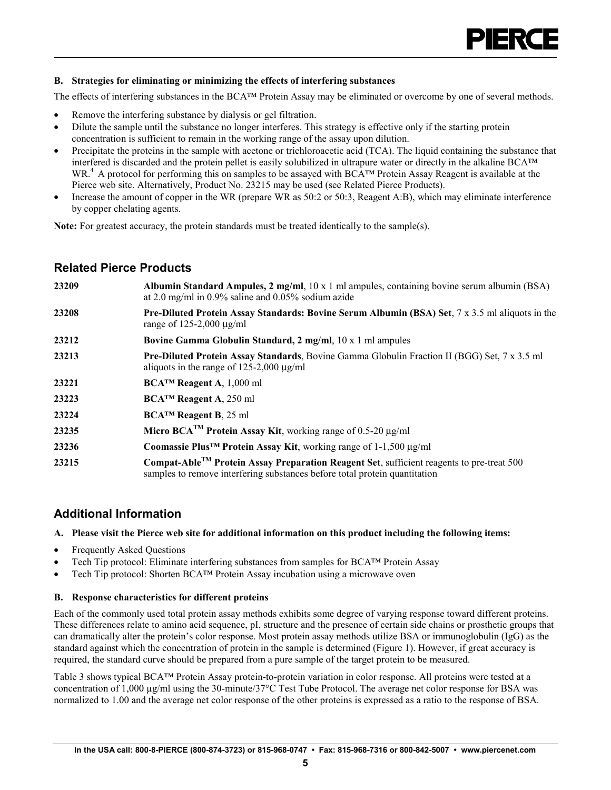

#### <span id="page-5-0"></span>**B. Strategies for eliminating or minimizing the effects of interfering substances**

The effects of interfering substances in the BCA™ Protein Assay may be eliminated or overcome by one of several methods.

- Remove the interfering substance by dialysis or gel filtration.
- Dilute the sample until the substance no longer interferes. This strategy is effective only if the starting protein concentration is sufficient to remain in the working range of the assay upon dilution.
- Precipitate the proteins in the sample with acetone or trichloroacetic acid (TCA). The liquid containing the substance that interfered is discarded and the protein pellet is easily solubilized in ultrapure water or directly in the alkaline BCA™ WR.4 A protocol for performing this on samples to be assayed with BCA™ Protein Assay Reagent is available at the Pierce web site. Alternatively, Product No. 23215 may be used (see Related Pierce Products).
- Increase the amount of copper in the WR (prepare WR as 50:2 or 50:3, Reagent A:B), which may eliminate interference by copper chelating agents.

**Note:** For greatest accuracy, the protein standards must be treated identically to the sample(s).

## **Related Pierce Products**

| 23209 | Albumin Standard Ampules, $2 \text{ mg/ml}$ , $10 \times 1 \text{ ml}$ ampules, containing bovine serum albumin (BSA)<br>at 2.0 mg/ml in $0.9\%$ saline and $0.05\%$ sodium azide   |
|-------|-------------------------------------------------------------------------------------------------------------------------------------------------------------------------------------|
| 23208 | Pre-Diluted Protein Assay Standards: Bovine Serum Albumin (BSA) Set, 7 x 3.5 ml aliquots in the<br>range of $125-2,000 \mu g/ml$                                                    |
| 23212 | Bovine Gamma Globulin Standard, 2 mg/ml, 10 x 1 ml ampules                                                                                                                          |
| 23213 | Pre-Diluted Protein Assay Standards, Bovine Gamma Globulin Fraction II (BGG) Set, 7 x 3.5 ml<br>aliquots in the range of 125-2,000 $\mu$ g/ml                                       |
| 23221 | $\mathbf{BCA^{TM}}$ Reagent A, 1,000 ml                                                                                                                                             |
| 23223 | BCA <sup>TM</sup> Reagent A, 250 ml                                                                                                                                                 |
| 23224 | $BCATM$ Reagent B, 25 ml                                                                                                                                                            |
| 23235 | Micro BCA <sup>TM</sup> Protein Assay Kit, working range of 0.5-20 $\mu$ g/ml                                                                                                       |
| 23236 | Coomassie Plus <sup>TM</sup> Protein Assay Kit, working range of $1-1,500 \mu g/ml$                                                                                                 |
| 23215 | Compat-Able <sup>TM</sup> Protein Assay Preparation Reagent Set, sufficient reagents to pre-treat 500<br>samples to remove interfering substances before total protein quantitation |

## **Additional Information**

#### **A. Please visit the Pierce web site for additional information on this product including the following items:**

- Frequently Asked Questions
- Tech Tip protocol: Eliminate interfering substances from samples for BCA™ Protein Assay
- Tech Tip protocol: Shorten BCA™ Protein Assay incubation using a microwave oven

#### **B. Response characteristics for different proteins**

Each of the commonly used total protein assay methods exhibits some degree of varying response toward different proteins. These differences relate to amino acid sequence, pI, structure and the presence of certain side chains or prosthetic groups that can dramatically alter the protein's color response. Most protein assay methods utilize BSA or immunoglobulin (IgG) as the standard against which the concentration of protein in the sample is determined (Figure 1). However, if great accuracy is required, the standard curve should be prepared from a pure sample of the target protein to be measured.

Table 3 shows typical BCA™ Protein Assay protein-to-protein variation in color response. All proteins were tested at a concentration of 1,000  $\mu$ g/ml using the 30-minute/37 °C Test Tube Protocol. The average net color response for BSA was normalized to 1.00 and the average net color response of the other proteins is expressed as a ratio to the response of BSA.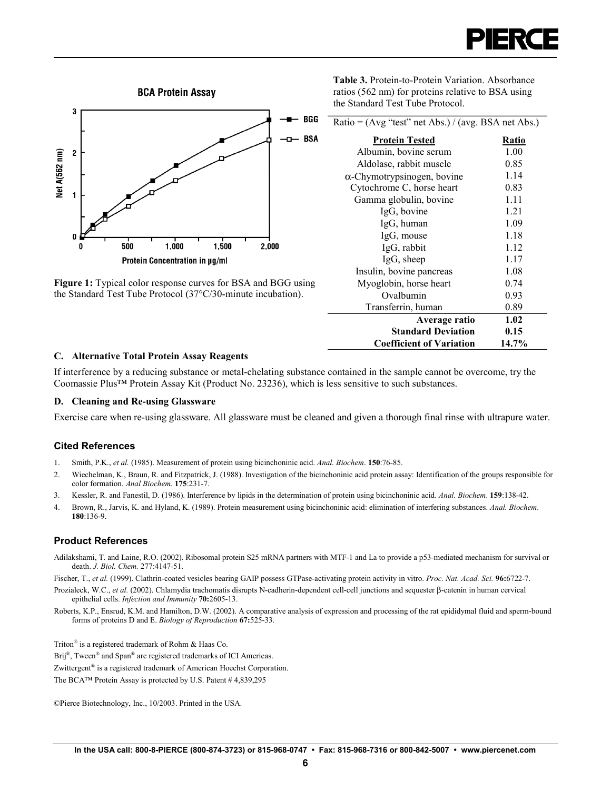<span id="page-6-0"></span>

**Figure 1:** Typical color response curves for BSA and BGG using the Standard Test Tube Protocol (37°C/30-minute incubation).

**Table 3.** Protein-to-Protein Variation. Absorbance ratios (562 nm) for proteins relative to BSA using the Standard Test Tube Protocol.

| Ratio = $(Avg$ "test" net Abs.) / (avg. BSA net Abs.) |       |  |  |  |
|-------------------------------------------------------|-------|--|--|--|
| <b>Protein Tested</b>                                 | Ratio |  |  |  |
| Albumin, bovine serum                                 | 1.00  |  |  |  |
| Aldolase, rabbit muscle                               | 0.85  |  |  |  |
| $\alpha$ -Chymotrypsinogen, bovine                    | 1.14  |  |  |  |
| Cytochrome C, horse heart                             | 0.83  |  |  |  |
| Gamma globulin, bovine                                | 1.11  |  |  |  |
| IgG, bovine                                           | 1.21  |  |  |  |
| IgG, human                                            | 1.09  |  |  |  |
| IgG, mouse                                            | 1.18  |  |  |  |
| IgG, rabbit                                           | 1.12  |  |  |  |
| IgG, sheep                                            | 1.17  |  |  |  |
| Insulin, bovine pancreas                              | 1.08  |  |  |  |
| Myoglobin, horse heart                                | 0.74  |  |  |  |
| Ovalbumin                                             | 0.93  |  |  |  |
| Transferrin, human                                    | 0.89  |  |  |  |
| Average ratio                                         | 1.02  |  |  |  |
| <b>Standard Deviation</b>                             | 0.15  |  |  |  |
| <b>Coefficient of Variation</b>                       | 14.7% |  |  |  |

#### **C. Alternative Total Protein Assay Reagents**

If interference by a reducing substance or metal-chelating substance contained in the sample cannot be overcome, try the Coomassie Plus™ Protein Assay Kit (Product No. 23236), which is less sensitive to such substances.

#### **D. Cleaning and Re-using Glassware**

Exercise care when re-using glassware. All glassware must be cleaned and given a thorough final rinse with ultrapure water.

#### **Cited References**

- 1. Smith, P.K., *et al.* (1985). Measurement of protein using bicinchoninic acid. *Anal. Biochem*. **150**:76-85.
- 2. Wiechelman, K., Braun, R. and Fitzpatrick, J. (1988). Investigation of the bicinchoninic acid protein assay: Identification of the groups responsible for color formation. *Anal Biochem*. **175**:231-7.
- 3. Kessler, R. and Fanestil, D. (1986). Interference by lipids in the determination of protein using bicinchoninic acid. *Anal. Biochem*. **159**:138-42.
- 4. Brown, R., Jarvis, K. and Hyland, K. (1989). Protein measurement using bicinchoninic acid: elimination of interfering substances. *Anal. Biochem*. **180**:136-9.

#### **Product References**

Adilakshami, T. and Laine, R.O. (2002). Ribosomal protein S25 mRNA partners with MTF-1 and La to provide a p53-mediated mechanism for survival or death. *J. Biol. Chem.* 277:4147-51.

Fischer, T., *et al.* (1999). Clathrin-coated vesicles bearing GAIP possess GTPase-activating protein activity in vitro. *Proc. Nat. Acad. Sci.* **96:**6722-7.

- Prozialeck, W.C., *et al.* (2002). Chlamydia trachomatis disrupts N-cadherin-dependent cell-cell junctions and sequester β-catenin in human cervical epithelial cells. *Infection and Immunity* **70:**2605-13.
- Roberts, K.P., Ensrud, K.M. and Hamilton, D.W. (2002). A comparative analysis of expression and processing of the rat epididymal fluid and sperm-bound forms of proteins D and E. *Biology of Reproduction* **67:**525-33.

Triton® is a registered trademark of Rohm & Haas Co.

Brij<sup>®</sup>, Tween<sup>®</sup> and Span<sup>®</sup> are registered trademarks of ICI Americas.

Zwittergent® is a registered trademark of American Hoechst Corporation.

The BCA™ Protein Assay is protected by U.S. Patent # 4,839,295

©Pierce Biotechnology, Inc., 10/2003. Printed in the USA.